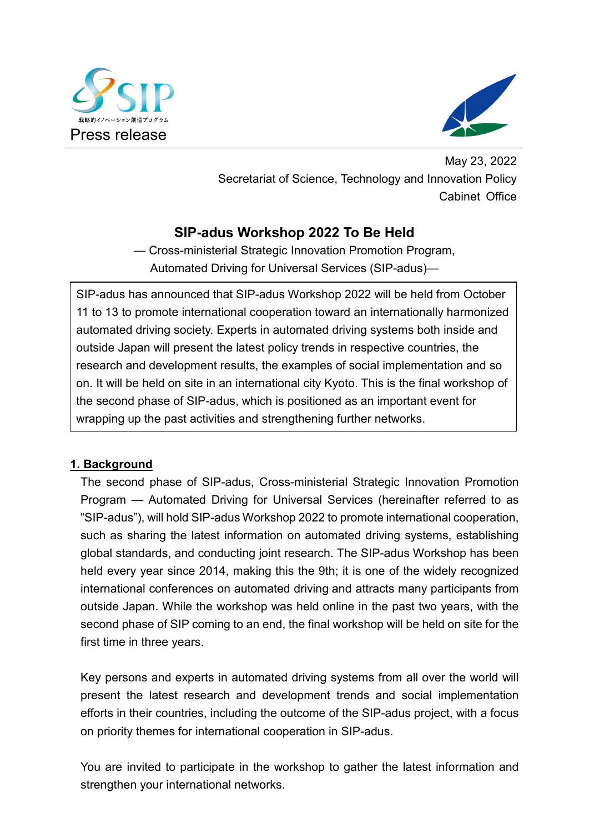



May 23, 2022 Secretariat of Science, Technology and Innovation Policy Cabinet Office

## **SIP-adus Workshop 2022 To Be Held**

— Cross-ministerial Strategic Innovation Promotion Program, Automated Driving for Universal Services (SIP-adus)—

SIP-adus has announced that SIP-adus Workshop 2022 will be held from October 11 to 13 to promote international cooperation toward an internationally harmonized automated driving society. Experts in automated driving systems both inside and outside Japan will present the latest policy trends in respective countries, the research and development results, the examples of social implementation and so on. It will be held on site in an international city Kyoto. This is the final workshop of the second phase of SIP-adus, which is positioned as an important event for wrapping up the past activities and strengthening further networks.

## **1. Background**

The second phase of SIP-adus, Cross-ministerial Strategic Innovation Promotion Program — Automated Driving for Universal Services (hereinafter referred to as "SIP-adus"), will hold SIP-adus Workshop 2022 to promote international cooperation, such as sharing the latest information on automated driving systems, establishing global standards, and conducting joint research. The SIP-adus Workshop has been held every year since 2014, making this the 9th; it is one of the widely recognized international conferences on automated driving and attracts many participants from outside Japan. While the workshop was held online in the past two years, with the second phase of SIP coming to an end, the final workshop will be held on site for the first time in three years.

Key persons and experts in automated driving systems from all over the world will present the latest research and development trends and social implementation efforts in their countries, including the outcome of the SIP-adus project, with a focus on priority themes for international cooperation in SIP-adus.

You are invited to participate in the workshop to gather the latest information and strengthen your international networks.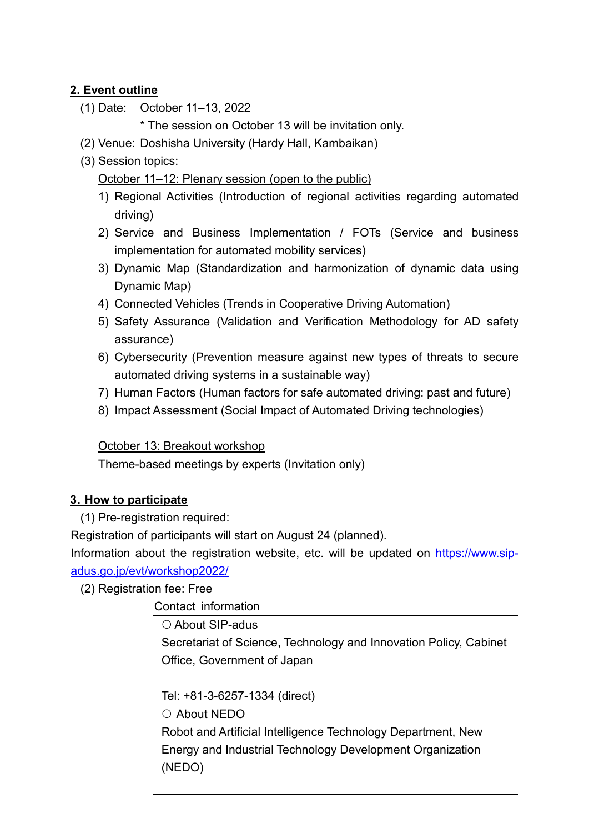## **2. Event outline**

(1) Date: October 11–13, 2022

\* The session on October 13 will be invitation only.

- (2) Venue: Doshisha University (Hardy Hall, Kambaikan)
- (3) Session topics:

October 11–12: Plenary session (open to the public)

- 1) Regional Activities (Introduction of regional activities regarding automated driving)
- 2) Service and Business Implementation / FOTs (Service and business implementation for automated mobility services)
- 3) Dynamic Map (Standardization and harmonization of dynamic data using Dynamic Map)
- 4) Connected Vehicles (Trends in Cooperative Driving Automation)
- 5) Safety Assurance (Validation and Verification Methodology for AD safety assurance)
- 6) Cybersecurity (Prevention measure against new types of threats to secure automated driving systems in a sustainable way)
- 7) Human Factors (Human factors for safe automated driving: past and future)
- 8) Impact Assessment (Social Impact of Automated Driving technologies)

October 13: Breakout workshop

Theme-based meetings by experts (Invitation only)

## **3. How to participate**

(1) Pre-registration required:

Registration of participants will start on August 24 (planned).

Information about the registration website, etc. will be updated on https://www.sipadus.go.jp/evt/workshop2022/

(2) Registration fee: Free

Contact information

○ About SIP-adus

Secretariat of Science, Technology and Innovation Policy, Cabinet Office, Government of Japan

Tel: +81-3-6257-1334 (direct)

About NEDO

Robot and Artificial Intelligence Technology Department, New Energy and Industrial Technology Development Organization (NEDO)